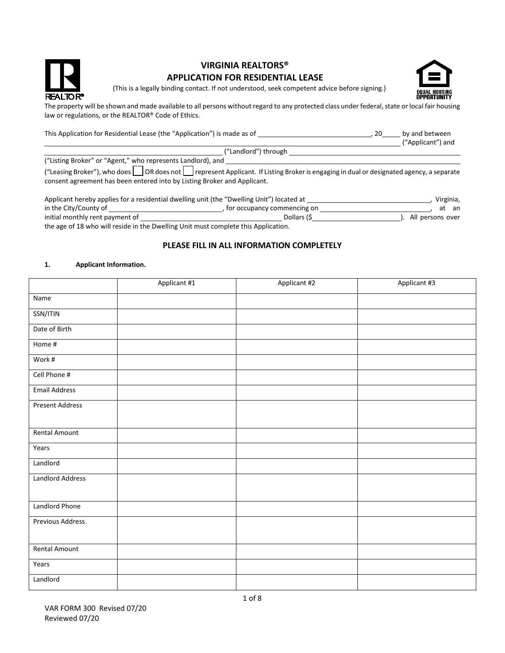

# **VIRGINIA REALTORS® APPLICATION FOR RESIDENTIAL LEASE**



(This is a legally binding contact. If not understood, seek competent advice before signing.)

The property will be shown and made available to all persons without regard to any protected class under federal, state or local fair housing law or regulations, or the REALTOR® Code of Ethics.

| This Application for Residential Lease (the "Application") is made as of                                                                 | 20 | by and between    |
|------------------------------------------------------------------------------------------------------------------------------------------|----|-------------------|
|                                                                                                                                          |    | ("Applicant") and |
| ("Landlord") through                                                                                                                     |    |                   |
| ("Listing Broker" or "Agent," who represents Landlord), and                                                                              |    |                   |
| ("Leasing Broker"), who does on a one on the represent Applicant. If Listing Broker is engaging in dual or designated agency, a separate |    |                   |
| consent agreement has been entered into by Listing Broker and Applicant.                                                                 |    |                   |

| Applicant hereby applies for a residential dwelling unit (the "Dwelling Unit") located at |                               | Virginia,        |
|-------------------------------------------------------------------------------------------|-------------------------------|------------------|
| in the City/County of                                                                     | , for occupancy commencing on | at an            |
| initial monthly rent payment of                                                           | Dollars (\$                   | All persons over |
| the age of 18 who will reside in the Dwelling Unit must complete this Application.        |                               |                  |

# **PLEASE FILL IN ALL INFORMATION COMPLETELY**

#### **1. Applicant Information.**

|                         | Applicant #1 | Applicant #2 | Applicant #3 |
|-------------------------|--------------|--------------|--------------|
| Name                    |              |              |              |
| SSN/ITIN                |              |              |              |
| Date of Birth           |              |              |              |
| Home #                  |              |              |              |
| Work #                  |              |              |              |
| Cell Phone #            |              |              |              |
| <b>Email Address</b>    |              |              |              |
| <b>Present Address</b>  |              |              |              |
|                         |              |              |              |
| <b>Rental Amount</b>    |              |              |              |
| Years                   |              |              |              |
| Landlord                |              |              |              |
| <b>Landlord Address</b> |              |              |              |
|                         |              |              |              |
| Landlord Phone          |              |              |              |
| <b>Previous Address</b> |              |              |              |
|                         |              |              |              |
| Rental Amount           |              |              |              |
| Years                   |              |              |              |
| Landlord                |              |              |              |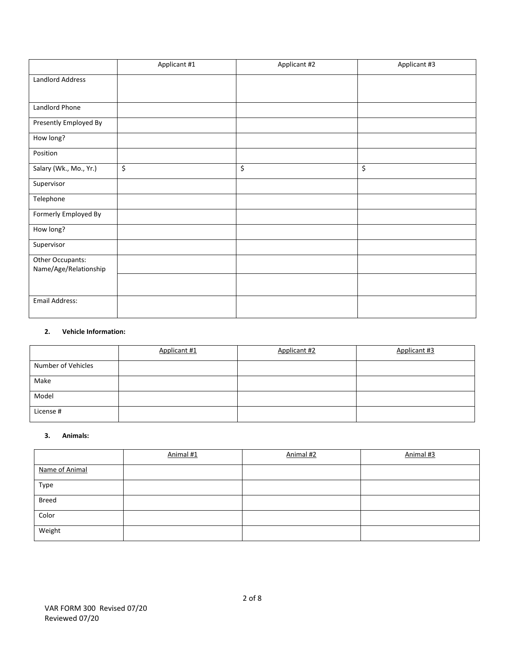|                                           | Applicant #1 | Applicant #2 | Applicant #3 |
|-------------------------------------------|--------------|--------------|--------------|
| Landlord Address                          |              |              |              |
|                                           |              |              |              |
| Landlord Phone                            |              |              |              |
| Presently Employed By                     |              |              |              |
| How long?                                 |              |              |              |
| Position                                  |              |              |              |
| Salary (Wk., Mo., Yr.)                    | \$           | \$           | \$           |
| Supervisor                                |              |              |              |
| Telephone                                 |              |              |              |
| Formerly Employed By                      |              |              |              |
| How long?                                 |              |              |              |
| Supervisor                                |              |              |              |
| Other Occupants:<br>Name/Age/Relationship |              |              |              |
|                                           |              |              |              |
| Email Address:                            |              |              |              |

## **2. Vehicle Information:**

|                    | Applicant #1 | Applicant #2 | Applicant #3 |
|--------------------|--------------|--------------|--------------|
| Number of Vehicles |              |              |              |
| Make               |              |              |              |
| Model              |              |              |              |
| License #          |              |              |              |

#### **3. Animals:**

|                | Animal #1 | Animal #2 | Animal #3 |
|----------------|-----------|-----------|-----------|
| Name of Animal |           |           |           |
| Type           |           |           |           |
| <b>Breed</b>   |           |           |           |
| Color          |           |           |           |
| Weight         |           |           |           |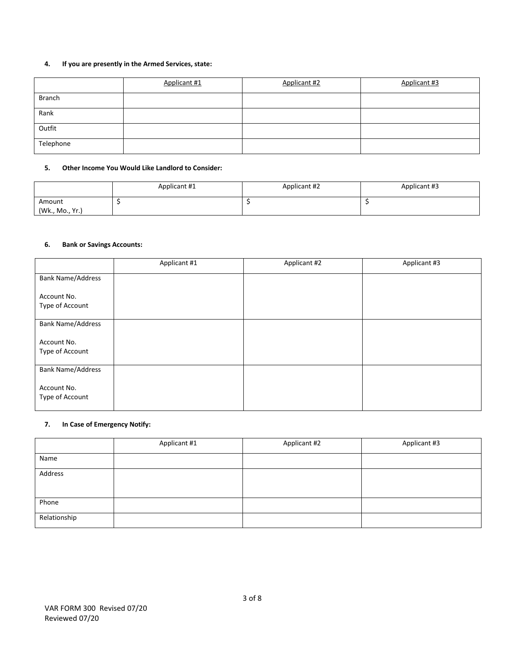## **4. If you are presently in the Armed Services, state:**

|               | Applicant #1 | Applicant #2 | Applicant #3 |
|---------------|--------------|--------------|--------------|
| <b>Branch</b> |              |              |              |
| Rank          |              |              |              |
| Outfit        |              |              |              |
| Telephone     |              |              |              |

### **5. Other Income You Would Like Landlord to Consider:**

|                           | Applicant #1 | Applicant #2 | Applicant #3 |
|---------------------------|--------------|--------------|--------------|
| Amount<br>(Wk., Mo., Yr.) |              |              |              |

## **6. Bank or Savings Accounts:**

|                                | Applicant #1 | Applicant #2 | Applicant #3 |
|--------------------------------|--------------|--------------|--------------|
| <b>Bank Name/Address</b>       |              |              |              |
| Account No.<br>Type of Account |              |              |              |
| <b>Bank Name/Address</b>       |              |              |              |
| Account No.<br>Type of Account |              |              |              |
| <b>Bank Name/Address</b>       |              |              |              |
| Account No.<br>Type of Account |              |              |              |

### **7. In Case of Emergency Notify:**

|              | Applicant #1 | Applicant #2 | Applicant #3 |
|--------------|--------------|--------------|--------------|
| Name         |              |              |              |
| Address      |              |              |              |
|              |              |              |              |
| Phone        |              |              |              |
| Relationship |              |              |              |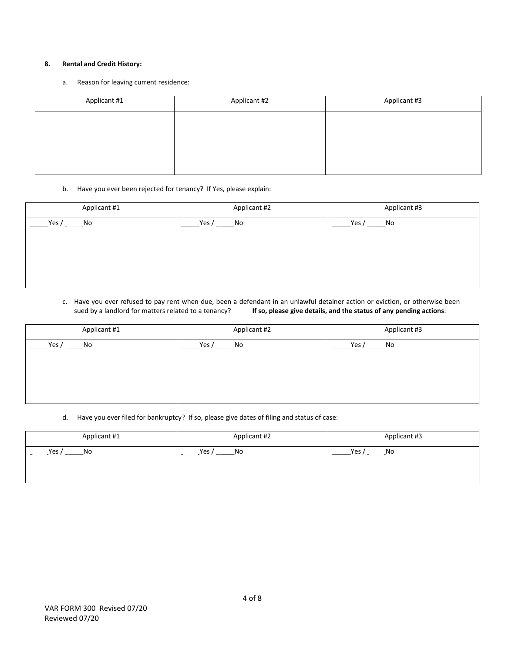### **8. Rental and Credit History:**

a. Reason for leaving current residence:

| Applicant #1 | Applicant #2 | Applicant #3 |
|--------------|--------------|--------------|
|              |              |              |
|              |              |              |
|              |              |              |
|              |              |              |

### b. Have you ever been rejected for tenancy? If Yes, please explain:

| Applicant #1                         | Applicant #2 | Applicant #3 |
|--------------------------------------|--------------|--------------|
| Yes /<br>$\overline{\phantom{a}}$ No | Yes /<br>No  | Yes /<br>No  |
|                                      |              |              |
|                                      |              |              |
|                                      |              |              |
|                                      |              |              |

c. Have you ever refused to pay rent when due, been a defendant in an unlawful detainer action or eviction, or otherwise been sued by a landlord for matters related to a tenancy? **If so, please give details, and the status of any pending actions**:

| Applicant #1 | Applicant #2                         | Applicant #3 |
|--------------|--------------------------------------|--------------|
| Yes /<br>No  | Yes /<br>$\overline{\phantom{a}}$ No | Yes /<br>No  |
|              |                                      |              |
|              |                                      |              |

d. Have you ever filed for bankruptcy? If so, please give dates of filing and status of case:

| Applicant #1 | Applicant #2  | Applicant #3 |  |
|--------------|---------------|--------------|--|
| Yes,<br>No   | Yes $/$<br>No | Yes,<br>No   |  |
|              |               |              |  |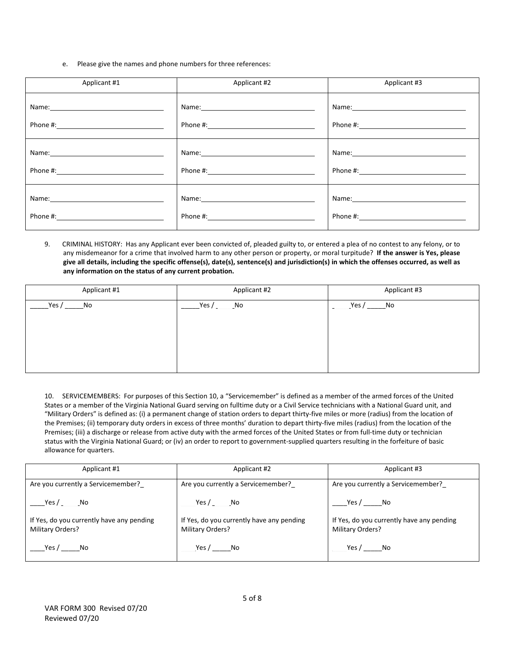e. Please give the names and phone numbers for three references:

| Applicant #1                                                                                                                                                                                                                  | Applicant #2                                                                                                                                                                                                                   | Applicant #3 |
|-------------------------------------------------------------------------------------------------------------------------------------------------------------------------------------------------------------------------------|--------------------------------------------------------------------------------------------------------------------------------------------------------------------------------------------------------------------------------|--------------|
| Name: Name and the second contract of the second contract of the second contract of the second contract of the second contract of the second contract of the second contract of the second contract of the second contract of |                                                                                                                                                                                                                                |              |
|                                                                                                                                                                                                                               |                                                                                                                                                                                                                                |              |
| Name: 2008 2010 2021 2022 2023 2024 2022 2022 2023 2024 2022 2023 2024 2022 2023 2024 2022 2023 2024 2022 2023                                                                                                                | Name: Name and the second state of the second state of the second state of the second state of the second state of the second state of the second state of the second state of the second state of the second state of the sec |              |
|                                                                                                                                                                                                                               |                                                                                                                                                                                                                                |              |
|                                                                                                                                                                                                                               |                                                                                                                                                                                                                                |              |
|                                                                                                                                                                                                                               | Phone #: the contract of the contract of the contract of the contract of the contract of the contract of the contract of the contract of the contract of the contract of the contract of the contract of the contract of the c |              |

9. CRIMINAL HISTORY: Has any Applicant ever been convicted of, pleaded guilty to, or entered a plea of no contest to any felony, or to any misdemeanor for a crime that involved harm to any other person or property, or moral turpitude? **If the answer is Yes, please give all details, including the specific offense(s), date(s), sentence(s) and jurisdiction(s) in which the offenses occurred, as well as any information on the status of any current probation.**

| Applicant #1  | Applicant #2 | Applicant #3 |
|---------------|--------------|--------------|
| Yes $/$<br>No | Yes/<br>_No  | Yes /<br>_No |
|               |              |              |
|               |              |              |
|               |              |              |
|               |              |              |

10. SERVICEMEMBERS: For purposes of this Section 10, a "Servicemember" is defined as a member of the armed forces of the United States or a member of the Virginia National Guard serving on fulltime duty or a Civil Service technicians with a National Guard unit, and "Military Orders" is defined as: (i) a permanent change of station orders to depart thirty-five miles or more (radius) from the location of the Premises; (ii) temporary duty orders in excess of three months' duration to depart thirty-five miles (radius) from the location of the Premises; (iii) a discharge or release from active duty with the armed forces of the United States or from full-time duty or technician status with the Virginia National Guard; or (iv) an order to report to government-supplied quarters resulting in the forfeiture of basic allowance for quarters.

| Applicant #1                                                  | Applicant #2                                                  | Applicant #3                                                  |  |
|---------------------------------------------------------------|---------------------------------------------------------------|---------------------------------------------------------------|--|
| Are you currently a Servicemember?                            | Are you currently a Servicemember?                            | Are you currently a Servicemember?                            |  |
| Yes / $\rule{1em}{0.15mm}$ No                                 | Yes / No                                                      | Yes / No                                                      |  |
| If Yes, do you currently have any pending<br>Military Orders? | If Yes, do you currently have any pending<br>Military Orders? | If Yes, do you currently have any pending<br>Military Orders? |  |
| Yes / No                                                      | Yes / No                                                      | Yes / No                                                      |  |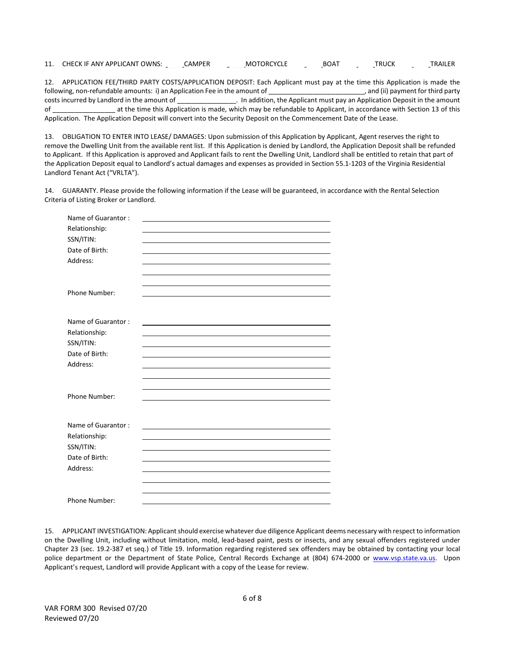11. CHECK IF ANY APPLICANT OWNS: \_\_\_\_\_CAMPER \_\_\_\_\_MOTORCYCLE \_\_\_\_\_BOAT \_\_\_\_\_TRUCK \_\_\_\_\_TRAILER

12. APPLICATION FEE/THIRD PARTY COSTS/APPLICATION DEPOSIT: Each Applicant must pay at the time this Application is made the following, non-refundable amounts: i) an Application Fee in the amount of \_\_\_\_\_\_\_\_\_\_\_\_\_\_\_\_\_\_\_\_\_\_\_\_\_\_\_\_\_\_, and (ii) payment for third party costs incurred by Landlord in the amount of \_\_\_\_\_\_\_\_\_\_\_\_\_\_\_\_\_\_\_. In addition, the Applicant must pay an Application Deposit in the amount of \_\_\_\_\_\_\_\_\_\_\_\_\_\_\_\_\_ at the time this Application is made, which may be refundable to Applicant, in accordance with Section 13 of this Application. The Application Deposit will convert into the Security Deposit on the Commencement Date of the Lease.

13. OBLIGATION TO ENTER INTO LEASE/ DAMAGES: Upon submission of this Application by Applicant, Agent reserves the right to remove the Dwelling Unit from the available rent list. If this Application is denied by Landlord, the Application Deposit shall be refunded to Applicant. If this Application is approved and Applicant fails to rent the Dwelling Unit, Landlord shall be entitled to retain that part of the Application Deposit equal to Landlord's actual damages and expenses as provided in Section 55.1-1203 of the Virginia Residential Landlord Tenant Act ("VRLTA").

14. GUARANTY. Please provide the following information if the Lease will be guaranteed, in accordance with the Rental Selection Criteria of Listing Broker or Landlord.

| Name of Guarantor: |  |
|--------------------|--|
| Relationship:      |  |
| SSN/ITIN:          |  |
| Date of Birth:     |  |
| Address:           |  |
|                    |  |
|                    |  |
| Phone Number:      |  |
|                    |  |
|                    |  |
| Name of Guarantor: |  |
| Relationship:      |  |
| SSN/ITIN:          |  |
| Date of Birth:     |  |
| Address:           |  |
|                    |  |
|                    |  |
| Phone Number:      |  |
|                    |  |
| Name of Guarantor: |  |
| Relationship:      |  |
| SSN/ITIN:          |  |
| Date of Birth:     |  |
| Address:           |  |
|                    |  |
|                    |  |
|                    |  |
| Phone Number:      |  |

15. APPLICANT INVESTIGATION: Applicant should exercise whatever due diligence Applicant deems necessary with respect to information on the Dwelling Unit, including without limitation, mold, lead-based paint, pests or insects, and any sexual offenders registered under Chapter 23 (sec. 19.2-387 et seq.) of Title 19. Information regarding registered sex offenders may be obtained by contacting your local police department or the Department of State Police, Central Records Exchange at (804) 674-2000 or [www.vsp.state.va.us.](http://www.vsp.state.va.us/) Upon Applicant's request, Landlord will provide Applicant with a copy of the Lease for review.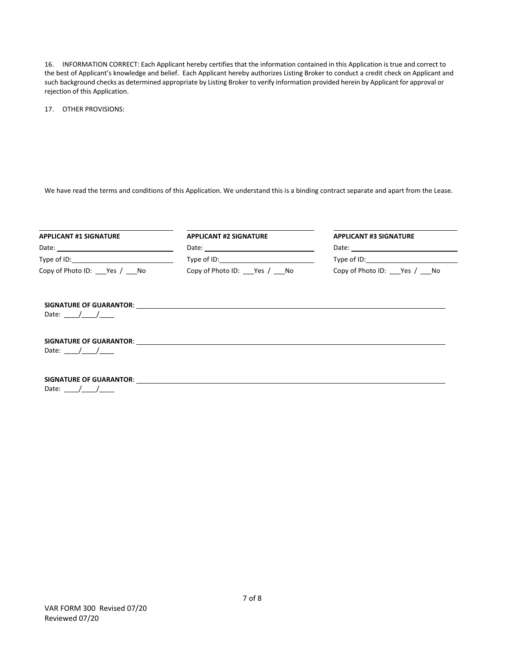16. INFORMATION CORRECT: Each Applicant hereby certifies that the information contained in this Application is true and correct to the best of Applicant's knowledge and belief. Each Applicant hereby authorizes Listing Broker to conduct a credit check on Applicant and such background checks as determined appropriate by Listing Broker to verify information provided herein by Applicant for approval or rejection of this Application.

17. OTHER PROVISIONS:

We have read the terms and conditions of this Application. We understand this is a binding contract separate and apart from the Lease.

| <b>APPLICANT #1 SIGNATURE</b>                                                      | <b>APPLICANT #2 SIGNATURE</b>        | <b>APPLICANT #3 SIGNATURE</b>        |  |
|------------------------------------------------------------------------------------|--------------------------------------|--------------------------------------|--|
|                                                                                    |                                      | Type of ID: Type of ID:              |  |
| Type of ID: Type of ID:                                                            |                                      |                                      |  |
| Copy of Photo ID: Yes / No                                                         | Copy of Photo ID: ____ Yes / ____ No | Copy of Photo ID: ____ Yes / ____ No |  |
| Date: $/$ /                                                                        |                                      |                                      |  |
| Date: $/$ /                                                                        |                                      |                                      |  |
| <b>SIGNATURE OF GUARANTOR:</b> NOTED THAT A SIGNATURE OF GUARANTOR:<br>Date: $/$ / |                                      |                                      |  |